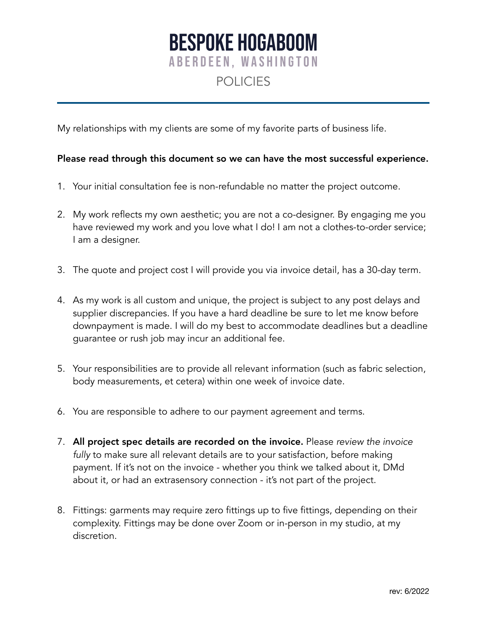## **BESPOKE HOGABOOM ABERDEEN, WASHINGTON** POLICIES

My relationships with my clients are some of my favorite parts of business life.

## Please read through this document so we can have the most successful experience.

- 1. Your initial consultation fee is non-refundable no matter the project outcome.
- 2. My work reflects my own aesthetic; you are not a co-designer. By engaging me you have reviewed my work and you love what I do! I am not a clothes-to-order service; I am a designer.
- 3. The quote and project cost I will provide you via invoice detail, has a 30-day term.
- 4. As my work is all custom and unique, the project is subject to any post delays and supplier discrepancies. If you have a hard deadline be sure to let me know before downpayment is made. I will do my best to accommodate deadlines but a deadline guarantee or rush job may incur an additional fee.
- 5. Your responsibilities are to provide all relevant information (such as fabric selection, body measurements, et cetera) within one week of invoice date.
- 6. You are responsible to adhere to our payment agreement and terms.
- 7. All project spec details are recorded on the invoice. Please *review the invoice fully* to make sure all relevant details are to your satisfaction, before making payment. If it's not on the invoice - whether you think we talked about it, DMd about it, or had an extrasensory connection - it's not part of the project.
- 8. Fittings: garments may require zero fittings up to five fittings, depending on their complexity. Fittings may be done over Zoom or in-person in my studio, at my discretion.